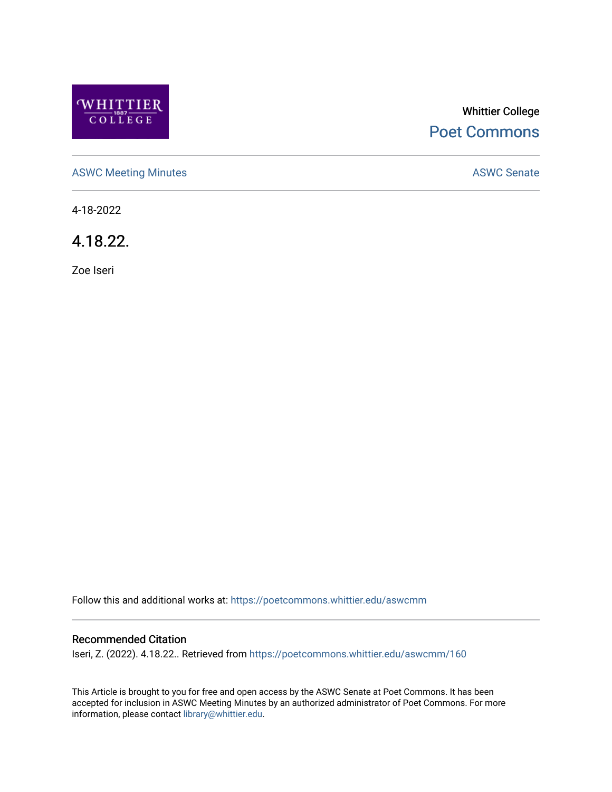

# Whittier College [Poet Commons](https://poetcommons.whittier.edu/)

[ASWC Meeting Minutes](https://poetcommons.whittier.edu/aswcmm) **ASWC Senate** 

4-18-2022

4.18.22.

Zoe Iseri

Follow this and additional works at: [https://poetcommons.whittier.edu/aswcmm](https://poetcommons.whittier.edu/aswcmm?utm_source=poetcommons.whittier.edu%2Faswcmm%2F160&utm_medium=PDF&utm_campaign=PDFCoverPages)

#### Recommended Citation

Iseri, Z. (2022). 4.18.22.. Retrieved from [https://poetcommons.whittier.edu/aswcmm/160](https://poetcommons.whittier.edu/aswcmm/160?utm_source=poetcommons.whittier.edu%2Faswcmm%2F160&utm_medium=PDF&utm_campaign=PDFCoverPages) 

This Article is brought to you for free and open access by the ASWC Senate at Poet Commons. It has been accepted for inclusion in ASWC Meeting Minutes by an authorized administrator of Poet Commons. For more information, please contact [library@whittier.edu.](mailto:library@whittier.edu)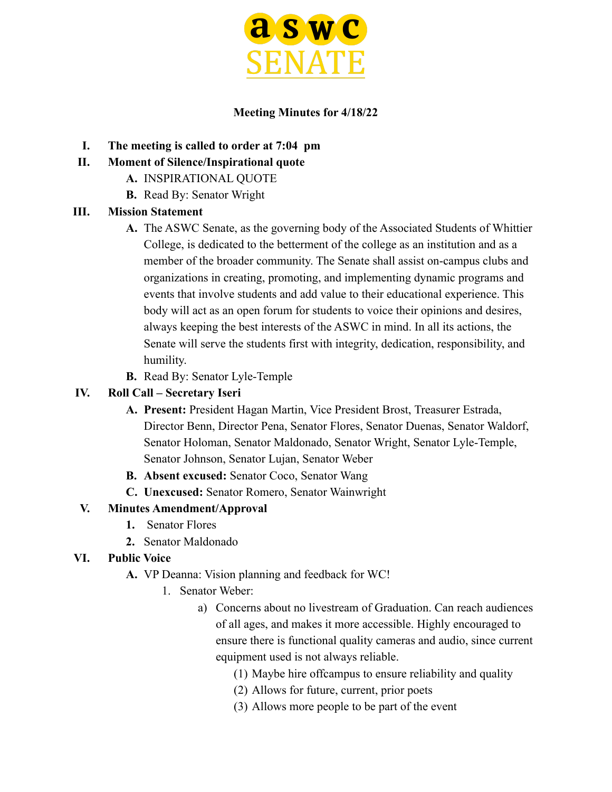

### **Meeting Minutes for 4/18/22**

- **I. The meeting is called to order at 7:04 pm**
- **II. Moment of Silence/Inspirational quote**
	- **A.** INSPIRATIONAL QUOTE
	- **B.** Read By: Senator Wright

## **III. Mission Statement**

- **A.** The ASWC Senate, as the governing body of the Associated Students of Whittier College, is dedicated to the betterment of the college as an institution and as a member of the broader community. The Senate shall assist on-campus clubs and organizations in creating, promoting, and implementing dynamic programs and events that involve students and add value to their educational experience. This body will act as an open forum for students to voice their opinions and desires, always keeping the best interests of the ASWC in mind. In all its actions, the Senate will serve the students first with integrity, dedication, responsibility, and humility.
- **B.** Read By: Senator Lyle-Temple

# **IV. Roll Call – Secretary Iseri**

- **A. Present:** President Hagan Martin, Vice President Brost, Treasurer Estrada, Director Benn, Director Pena, Senator Flores, Senator Duenas, Senator Waldorf, Senator Holoman, Senator Maldonado, Senator Wright, Senator Lyle-Temple, Senator Johnson, Senator Lujan, Senator Weber
- **B. Absent excused:** Senator Coco, Senator Wang
- **C. Unexcused:** Senator Romero, Senator Wainwright

# **V. Minutes Amendment/Approval**

- **1.** Senator Flores
- **2.** Senator Maldonado

## **VI. Public Voice**

- **A.** VP Deanna: Vision planning and feedback for WC!
	- 1. Senator Weber:
		- a) Concerns about no livestream of Graduation. Can reach audiences of all ages, and makes it more accessible. Highly encouraged to ensure there is functional quality cameras and audio, since current equipment used is not always reliable.
			- (1) Maybe hire offcampus to ensure reliability and quality
			- (2) Allows for future, current, prior poets
			- (3) Allows more people to be part of the event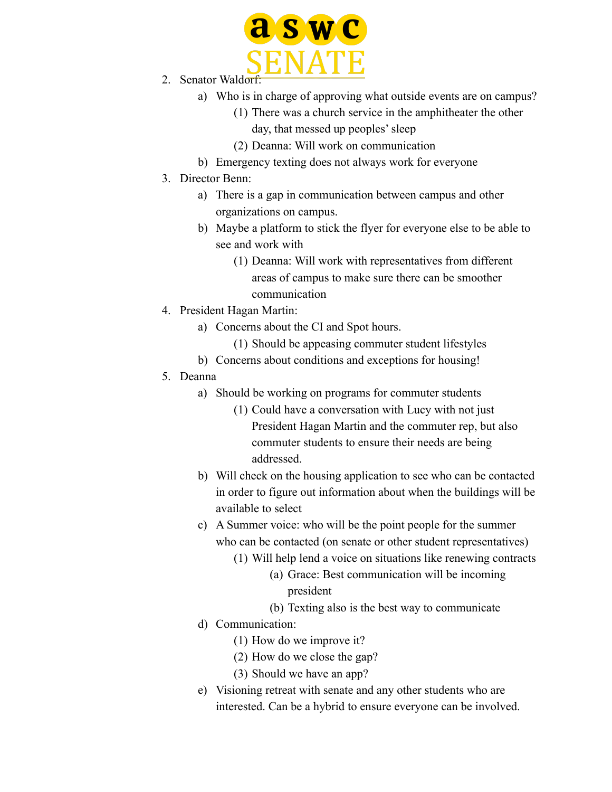

- 2. Senator Waldorf:
	- a) Who is in charge of approving what outside events are on campus?
		- (1) There was a church service in the amphitheater the other
			- day, that messed up peoples' sleep
		- (2) Deanna: Will work on communication
	- b) Emergency texting does not always work for everyone
- 3. Director Benn:
	- a) There is a gap in communication between campus and other organizations on campus.
	- b) Maybe a platform to stick the flyer for everyone else to be able to see and work with
		- (1) Deanna: Will work with representatives from different areas of campus to make sure there can be smoother communication
- 4. President Hagan Martin:
	- a) Concerns about the CI and Spot hours.
		- (1) Should be appeasing commuter student lifestyles
	- b) Concerns about conditions and exceptions for housing!
- 5. Deanna
	- a) Should be working on programs for commuter students
		- (1) Could have a conversation with Lucy with not just President Hagan Martin and the commuter rep, but also commuter students to ensure their needs are being addressed.
	- b) Will check on the housing application to see who can be contacted in order to figure out information about when the buildings will be available to select
	- c) A Summer voice: who will be the point people for the summer who can be contacted (on senate or other student representatives)
		- (1) Will help lend a voice on situations like renewing contracts
			- (a) Grace: Best communication will be incoming president
			- (b) Texting also is the best way to communicate
	- d) Communication:
		- (1) How do we improve it?
		- (2) How do we close the gap?
		- (3) Should we have an app?
	- e) Visioning retreat with senate and any other students who are interested. Can be a hybrid to ensure everyone can be involved.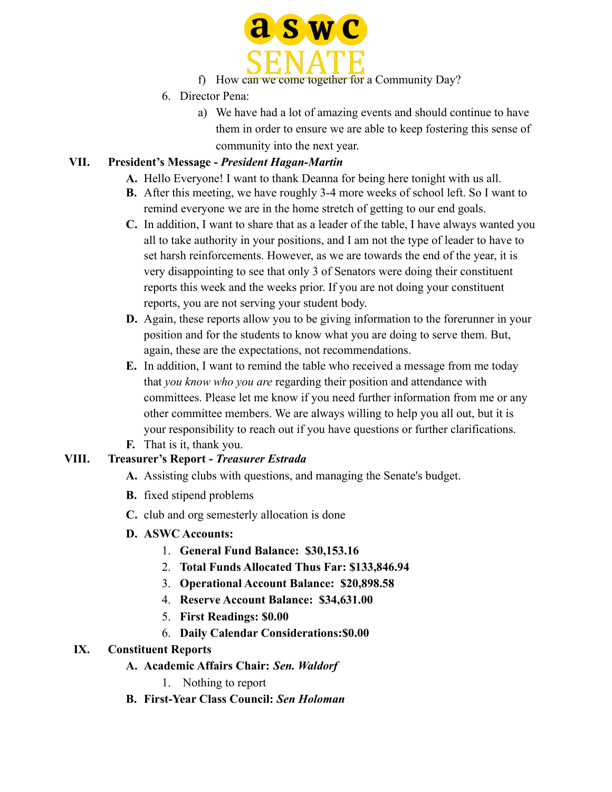

- f) How can we come together for a Community Day?
- 6. Director Pena:
	- a) We have had a lot of amazing events and should continue to have them in order to ensure we are able to keep fostering this sense of community into the next year.

# **VII. President's Message -** *President Hagan-Martin*

- **A.** Hello Everyone! I want to thank Deanna for being here tonight with us all.
- **B.** After this meeting, we have roughly 3-4 more weeks of school left. So I want to remind everyone we are in the home stretch of getting to our end goals.
- **C.** In addition, I want to share that as a leader of the table, I have always wanted you all to take authority in your positions, and I am not the type of leader to have to set harsh reinforcements. However, as we are towards the end of the year, it is very disappointing to see that only 3 of Senators were doing their constituent reports this week and the weeks prior. If you are not doing your constituent reports, you are not serving your student body.
- **D.** Again, these reports allow you to be giving information to the forerunner in your position and for the students to know what you are doing to serve them. But, again, these are the expectations, not recommendations.
- **E.** In addition, I want to remind the table who received a message from me today that *you know who you are* regarding their position and attendance with committees. Please let me know if you need further information from me or any other committee members. We are always willing to help you all out, but it is your responsibility to reach out if you have questions or further clarifications.
- **F.** That is it, thank you.

## **VIII. Treasurer's Report -** *Treasurer Estrada*

- **A.** Assisting clubs with questions, and managing the Senate's budget.
- **B.** fixed stipend problems
- **C.** club and org semesterly allocation is done
- **D. ASWC Accounts:**
	- 1. **General Fund Balance: \$30,153.16**
	- 2. **Total Funds Allocated Thus Far: \$133,846.94**
	- 3. **Operational Account Balance: \$20,898.58**
	- 4. **Reserve Account Balance: \$34,631.00**
	- 5. **First Readings: \$0.00**
	- 6. **Daily Calendar Considerations:\$0.00**

#### **IX. Constituent Reports**

- **A. Academic Affairs Chair:** *Sen. Waldorf*
	- 1. Nothing to report
- **B. First-Year Class Council:** *Sen Holoman*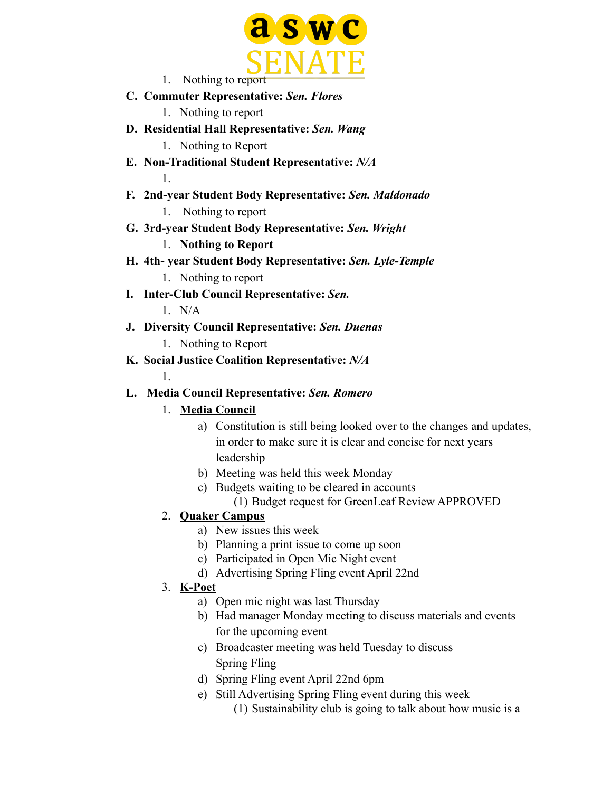

1. Nothing to report

- **C. Commuter Representative:** *Sen. Flores*
	- 1. Nothing to report
- **D. Residential Hall Representative:** *Sen. Wang* 1. Nothing to Report
- **E. Non-Traditional Student Representative:** *N/A* 1.
- **F. 2nd-year Student Body Representative:** *Sen. Maldonado* 1. Nothing to report
- **G. 3rd-year Student Body Representative:** *Sen. Wright* 1. **Nothing to Report**
- **H. 4th- year Student Body Representative:** *Sen. Lyle-Temple* 1. Nothing to report
- **I. Inter-Club Council Representative:** *Sen.*

 $1$  N/A

- **J. Diversity Council Representative:** *Sen. Duenas*
	- 1. Nothing to Report
- **K. Social Justice Coalition Representative:** *N/A*

1.

# **L. Media Council Representative:** *Sen. Romero*

## 1. **Media Council**

- a) Constitution is still being looked over to the changes and updates, in order to make sure it is clear and concise for next years leadership
- b) Meeting was held this week Monday
- c) Budgets waiting to be cleared in accounts
	- (1) Budget request for GreenLeaf Review APPROVED

# 2. **Quaker Campus**

- a) New issues this week
- b) Planning a print issue to come up soon
- c) Participated in Open Mic Night event
- d) Advertising Spring Fling event April 22nd

# 3. **K-Poet**

- a) Open mic night was last Thursday
- b) Had manager Monday meeting to discuss materials and events for the upcoming event
- c) Broadcaster meeting was held Tuesday to discuss Spring Fling
- d) Spring Fling event April 22nd 6pm
- e) Still Advertising Spring Fling event during this week
	- (1) Sustainability club is going to talk about how music is a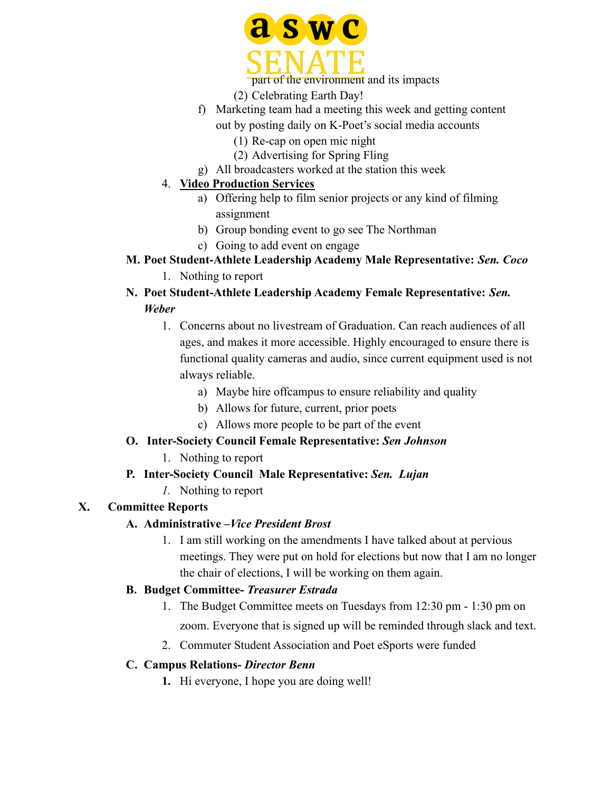

part of the environment and its impacts

(2) Celebrating Earth Day!

- f) Marketing team had a meeting this week and getting content out by posting daily on K-Poet's social media accounts
	- (1) Re-cap on open mic night
	- (2) Advertising for Spring Fling
- g) All broadcasters worked at the station this week

#### 4. **Video Production Services**

- a) Offering help to film senior projects or any kind of filming assignment
- b) Group bonding event to go see The Northman
- c) Going to add event on engage
- **M. Poet Student-Athlete Leadership Academy Male Representative:** *Sen. Coco*
	- 1. Nothing to report
- **N. Poet Student-Athlete Leadership Academy Female Representative:** *Sen. Weber*
	- 1. Concerns about no livestream of Graduation. Can reach audiences of all ages, and makes it more accessible. Highly encouraged to ensure there is functional quality cameras and audio, since current equipment used is not always reliable.
		- a) Maybe hire offcampus to ensure reliability and quality
		- b) Allows for future, current, prior poets
		- c) Allows more people to be part of the event

## **O. Inter-Society Council Female Representative:** *Sen Johnson*

1. Nothing to report

## **P. Inter-Society Council Male Representative:** *Sen. Lujan*

*1.* Nothing to report

## **X. Committee Reports**

## **A. Administrative –***Vice President Brost*

1. I am still working on the amendments I have talked about at pervious meetings. They were put on hold for elections but now that I am no longer the chair of elections, I will be working on them again.

#### **B. Budget Committee-** *Treasurer Estrada*

- 1. The Budget Committee meets on Tuesdays from 12:30 pm 1:30 pm on zoom. Everyone that is signed up will be reminded through slack and text.
- 2. Commuter Student Association and Poet eSports were funded

#### **C. Campus Relations-** *Director Benn*

**1.** Hi everyone, I hope you are doing well!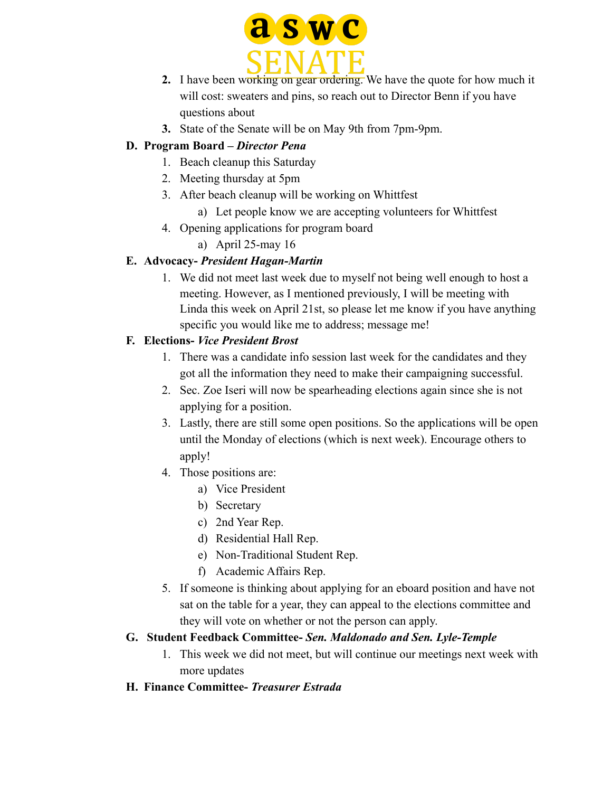

- **2.** I have been working on gear ordering. We have the quote for how much it will cost: sweaters and pins, so reach out to Director Benn if you have questions about
- **3.** State of the Senate will be on May 9th from 7pm-9pm.

# **D. Program Board –** *Director Pena*

- 1. Beach cleanup this Saturday
- 2. Meeting thursday at 5pm
- 3. After beach cleanup will be working on Whittfest
	- a) Let people know we are accepting volunteers for Whittfest
- 4. Opening applications for program board
	- a) April 25-may 16

# **E. Advocacy-** *President Hagan-Martin*

1. We did not meet last week due to myself not being well enough to host a meeting. However, as I mentioned previously, I will be meeting with Linda this week on April 21st, so please let me know if you have anything specific you would like me to address; message me!

# **F. Elections-** *Vice President Brost*

- 1. There was a candidate info session last week for the candidates and they got all the information they need to make their campaigning successful.
- 2. Sec. Zoe Iseri will now be spearheading elections again since she is not applying for a position.
- 3. Lastly, there are still some open positions. So the applications will be open until the Monday of elections (which is next week). Encourage others to apply!
- 4. Those positions are:
	- a) Vice President
	- b) Secretary
	- c) 2nd Year Rep.
	- d) Residential Hall Rep.
	- e) Non-Traditional Student Rep.
	- f) Academic Affairs Rep.
- 5. If someone is thinking about applying for an eboard position and have not sat on the table for a year, they can appeal to the elections committee and they will vote on whether or not the person can apply.

# **G. Student Feedback Committee-** *Sen. Maldonado and Sen. Lyle-Temple*

1. This week we did not meet, but will continue our meetings next week with more updates

# **H. Finance Committee-** *Treasurer Estrada*